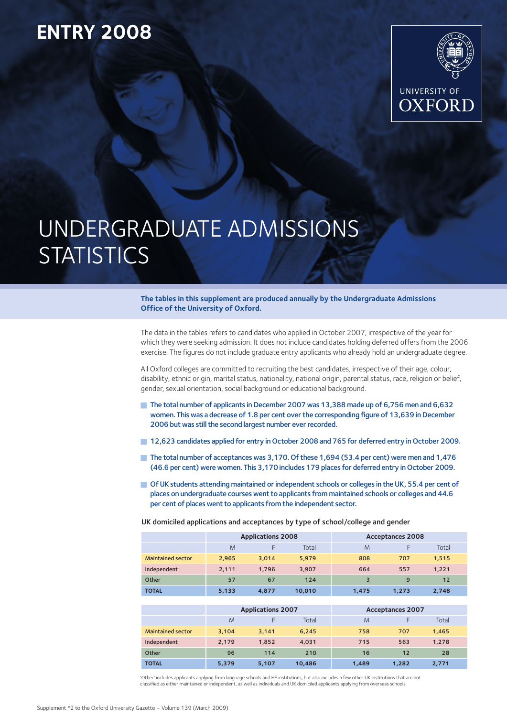## **ENTRY 2008**



# UNDERGRADUATE ADMISSIONS **STATISTICS**

**The tables in this supplement are produced annually by the Undergraduate Admissions Office of the University of Oxford.**

The data in the tables refers to candidates who applied in October 2007, irrespective of the year for which they were seeking admission. It does not include candidates holding deferred offers from the 2006 exercise. The figures do not include graduate entry applicants who already hold an undergraduate degree.

All Oxford colleges are committed to recruiting the best candidates, irrespective of their age, colour, disability, ethnic origin, marital status, nationality, national origin, parental status, race, religion or belief, gender, sexual orientation, social background or educational background.

- The total number of applicants in December 2007 was 13,388 made up of 6,756 men and 6,632 women. This was a decrease of 1.8 per cent over the corresponding figure of 13,639 in December 2006 but was still the second largest number ever recorded.
- **12,623 candidates applied for entry in October 2008 and 765 for deferred entry in October 2009.**
- The total number of acceptances was 3,170. Of these 1,694 (53.4 per cent) were men and 1,476 (46.6 per cent) were women. This 3,170 includes 179 places for deferred entry in October 2009.
- **Defects** of UK students attending maintained or independent schools or colleges in the UK, 55.4 per cent of places on undergraduate courses went to applicants from maintained schools or colleges and 44.6 per cent of places went to applicants from the independent sector.

UK domiciled applications and acceptances by type of school/college and gender

|                          |       | <b>Applications 2008</b> |        | <b>Acceptances 2008</b> |       |       |  |  |
|--------------------------|-------|--------------------------|--------|-------------------------|-------|-------|--|--|
|                          | M     |                          | Total  | M                       |       | Total |  |  |
| <b>Maintained sector</b> | 2.965 | 3.014                    | 5,979  | 808                     | 707   | 1,515 |  |  |
| Independent              | 2.111 | 1.796                    | 3.907  | 664                     | 557   | 1,221 |  |  |
| Other                    | 57    | 67                       | 124    | 3                       | 9     | 12    |  |  |
| <b>TOTAL</b>             | 5,133 | 4.877                    | 10,010 | 1.475                   | 1.273 | 2,748 |  |  |

|                          |       | <b>Applications 2007</b> |        | <b>Acceptances 2007</b> |       |       |  |  |
|--------------------------|-------|--------------------------|--------|-------------------------|-------|-------|--|--|
|                          | M     |                          | Total  | M                       |       | Total |  |  |
| <b>Maintained sector</b> | 3.104 | 3.141                    | 6.245  | 758                     | 707   | 1.465 |  |  |
| Independent              | 2.179 | 1.852                    | 4,031  | 715                     | 563   | 1.278 |  |  |
| Other                    | 96    | 114                      | 210    | 16                      | 12    | 28    |  |  |
| <b>TOTAL</b>             | 5.379 | 5.107                    | 10,486 | 1.489                   | 1.282 | 2.771 |  |  |

'Other' includes applicants applying from language schools and HE institutions, but also includes a few other UK institutions that are not classified as either maintained or independent, as well as individuals and UK domiciled applicants applying from overseas schools.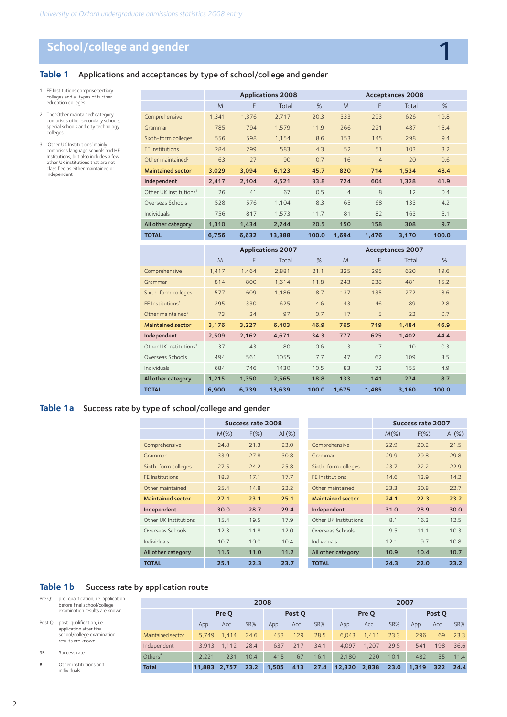## **School/college and gender**

## **Table 1** Applications and acceptances by type of school/college and gender

- 1 FE Institutions comprise tertiary colleges and all types of further education colleges.
- 2 The 'Other maintained' category comprises other secondary schools, special schools and city technology colleges
- 3 'Other UK Institutions' mainly comprises language schools and HE Institutions, but also includes a few other UK institutions that are not classified as either maintained or independent

|                                    |       | <b>Applications 2008</b> |                   |       |                | <b>Acceptances 2008</b> |                  |       |  |  |
|------------------------------------|-------|--------------------------|-------------------|-------|----------------|-------------------------|------------------|-------|--|--|
|                                    | M     | F                        | Total             | %     | M              | F                       | Total            | %     |  |  |
| Comprehensive                      | 1,341 | 1,376                    | 2,717             | 20.3  | 333            | 293                     | 626              | 19.8  |  |  |
| Grammar                            | 785   | 794                      | 1,579             | 11.9  | 266            | 221                     | 487              | 15.4  |  |  |
| Sixth-form colleges                | 556   | 598                      | 1,154             | 8.6   | 153            | 145                     | 298              | 9.4   |  |  |
| FE Institutions <sup>1</sup>       | 284   | 299                      | 583               | 4.3   | 52             | 51                      | 103              | 3.2   |  |  |
| Other maintained <sup>2</sup>      | 63    | 27                       | 90                | 0.7   | 16             | $\overline{4}$          | 20               | 0.6   |  |  |
| <b>Maintained sector</b>           | 3,029 | 3,094                    | 6,123             | 45.7  | 820            | 714                     | 1,534            | 48.4  |  |  |
| Independent                        | 2,417 | 2,104                    | 4,521             | 33.8  | 724            | 604                     | 1,328            | 41.9  |  |  |
| Other UK Institutions <sup>3</sup> | 26    | 41                       | 67                | 0.5   | $\overline{4}$ | 8                       | 12               | 0.4   |  |  |
| Overseas Schools                   | 528   | 576                      | 1,104             | 8.3   | 65             | 68                      | 133              | 4.2   |  |  |
| <b>Individuals</b>                 | 756   | 817                      | 1,573             | 11.7  | 81             | 82                      | 163              | 5.1   |  |  |
| All other category                 | 1,310 | 1,434                    | 2,744             | 20.5  | 150            | 158                     | 308              | 9.7   |  |  |
| <b>TOTAL</b>                       | 6,756 | 6,632                    | 13,388            | 100.0 | 1,694          | 1,476                   | 3,170            | 100.0 |  |  |
|                                    |       |                          | Annlications 2007 |       |                |                         | Acceptances 2007 |       |  |  |

1

|                                    | <b>Applications 2007</b> |       |        |       |       | <b>Acceptances 2007</b> |       |       |  |  |
|------------------------------------|--------------------------|-------|--------|-------|-------|-------------------------|-------|-------|--|--|
|                                    | M                        | F     | Total  | %     | M     | F                       | Total | %     |  |  |
| Comprehensive                      | 1,417                    | 1,464 | 2,881  | 21.1  | 325   | 295                     | 620   | 19.6  |  |  |
| Grammar                            | 814                      | 800   | 1,614  | 11.8  | 243   | 238                     | 481   | 15.2  |  |  |
| Sixth-form colleges                | 577                      | 609   | 1,186  | 8.7   | 137   | 135                     | 272   | 8.6   |  |  |
| FE Institutions <sup>1</sup>       | 295                      | 330   | 625    | 4.6   | 43    | 46                      | 89    | 2.8   |  |  |
| Other maintained <sup>2</sup>      | 73                       | 24    | 97     | 0.7   | 17    | 5                       | 22    | 0.7   |  |  |
| <b>Maintained sector</b>           | 3,176                    | 3,227 | 6,403  | 46.9  | 765   | 719                     | 1,484 | 46.9  |  |  |
| Independent                        | 2,509                    | 2,162 | 4,671  | 34.3  | 777   | 625                     | 1,402 | 44.4  |  |  |
| Other UK Institutions <sup>3</sup> | 37                       | 43    | 80     | 0.6   | 3     | $\overline{7}$          | 10    | 0.3   |  |  |
| Overseas Schools                   | 494                      | 561   | 1055   | 7.7   | 47    | 62                      | 109   | 3.5   |  |  |
| <b>Individuals</b>                 | 684                      | 746   | 1430   | 10.5  | 83    | 72                      | 155   | 4.9   |  |  |
| All other category                 | 1,215                    | 1,350 | 2,565  | 18.8  | 133   | 141                     | 274   | 8.7   |  |  |
| <b>TOTAL</b>                       | 6.900                    | 6,739 | 13,639 | 100.0 | 1,675 | 1,485                   | 3,160 | 100.0 |  |  |

#### **Table 1a** Success rate by type of school/college and gender

|                          |         | <b>Success rate 2008</b> |           |                          |         | Success rate 2007 |           |
|--------------------------|---------|--------------------------|-----------|--------------------------|---------|-------------------|-----------|
|                          | $M(\%)$ | $F(\%)$                  | $All(\%)$ |                          | $M(\%)$ | $F(\%)$           | $All(\%)$ |
| Comprehensive            | 24.8    | 21.3                     | 23.0      | Comprehensive            | 22.9    | 20.2              | 21.5      |
| Grammar                  | 33.9    | 27.8                     | 30.8      | Grammar                  | 29.9    | 29.8              | 29.8      |
| Sixth-form colleges      | 27.5    | 24.2                     | 25.8      | Sixth-form colleges      | 23.7    | 22.2              | 22.9      |
| FE Institutions          | 18.3    | 17.1                     | 17.7      | FE Institutions          | 14.6    | 13.9              | 14.2      |
| Other maintained         | 25.4    | 14.8                     | 22.2      | Other maintained         | 23.3    | 20.8              | 22.7      |
| <b>Maintained sector</b> | 27.1    | 23.1                     | 25.1      | <b>Maintained sector</b> | 24.1    | 22.3              | 23.2      |
| Independent              | 30.0    | 28.7                     | 29.4      | Independent              | 31.0    | 28.9              | 30.0      |
| Other UK Institutions    | 15.4    | 19.5                     | 17.9      | Other UK Institutions    | 8.1     | 16.3              | 12.5      |
| Overseas Schools         | 12.3    | 11.8                     | 12.0      | Overseas Schools         | 9.5     | 11.1              | 10.3      |
| <b>Individuals</b>       | 10.7    | 10.0                     | 10.4      | <b>Individuals</b>       | 12.1    | 9.7               | 10.8      |
| All other category       | 11.5    | 11.0                     | 11.2      | All other category       | 10.9    | 10.4              | 10.7      |
| <b>TOTAL</b>             | 25.1    | 22.3                     | 23.7      | <b>TOTAL</b>             | 24.3    | 22.0              | 23.2      |

#### Table 1b Success rate by application route

| Pre O:                     | pre-qualification, i.e. application<br>before final school/college |                     | 2008         |       |      |       |        | 2007  |        |       |      |       |        |      |
|----------------------------|--------------------------------------------------------------------|---------------------|--------------|-------|------|-------|--------|-------|--------|-------|------|-------|--------|------|
|                            | examination results are known                                      |                     |              | Pre O |      |       | Post O |       |        | Pre O |      |       | Post O |      |
| Post Q:                    | post-qualification, i.e.<br>application after final                |                     | App          | Acc   | SR%  | App   | Acc    | SR%   | App    | Acc   | SR%  | App   | Acc    | SR%  |
| school/college examination | Maintained sector                                                  | 5.749               | 1.414        | 24.6  | 453  | 129   | 28.5   | 6.043 | 1.411  | 23.3  | 296  | 69    | 23.3   |      |
|                            | results are known                                                  | Independent         | 3.913        | 1,112 | 28.4 | 637   | 217    | 34.1  | 4.097  | .207  | 29.5 | 541   | 198    | 36.6 |
| <b>SR</b>                  | Success rate                                                       | Others <sup>'</sup> | 2.221        | 231   | 10.4 | 415   | 67     | 16.1  | 2.180  | 220   | 10.1 | 482   | 55     | 11.4 |
| #                          | Other institutions and<br>individuals                              | <b>Total</b>        | 11.883 2.757 |       | 23.2 | 1,505 | 413    | 27.4  | 12,320 | 2,838 | 23.0 | 1,319 | 322    | 24.4 |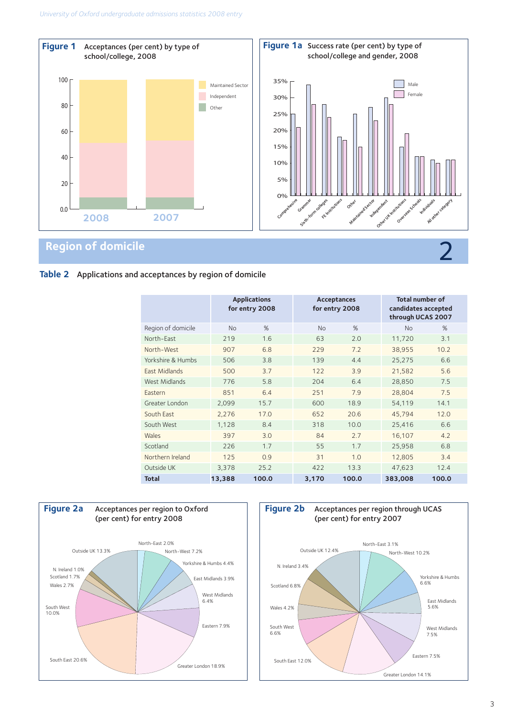

## **Table 2** Applications and acceptances by region of domicile

|                    | <b>Applications</b><br>for entry 2008 |       |           | <b>Acceptances</b><br>for entry 2008 | <b>Total number of</b><br>candidates accepted<br>through UCAS 2007 |       |  |
|--------------------|---------------------------------------|-------|-----------|--------------------------------------|--------------------------------------------------------------------|-------|--|
| Region of domicile | <b>No</b>                             | %     | <b>No</b> | %                                    | <b>No</b>                                                          | %     |  |
| North-East         | 219                                   | 1.6   | 63        | 2.0                                  | 11,720                                                             | 3.1   |  |
| North-West         | 907                                   | 6.8   | 229       | 7.2                                  | 38,955                                                             | 10.2  |  |
| Yorkshire & Humbs  | 506                                   | 3.8   | 139       | 4.4                                  | 25,275                                                             | 6.6   |  |
| East Midlands      | 500                                   | 3.7   | 122       | 3.9                                  | 21,582                                                             | 5.6   |  |
| West Midlands      | 776                                   | 5.8   | 204       | 6.4                                  | 28,850                                                             | 7.5   |  |
| Eastern            | 851                                   | 6.4   | 251       | 7.9                                  | 28,804                                                             | 7.5   |  |
| Greater London     | 2,099                                 | 15.7  | 600       | 18.9                                 | 54,119                                                             | 14.1  |  |
| South East         | 2,276                                 | 17.0  | 652       | 20.6                                 | 45,794                                                             | 12.0  |  |
| South West         | 1,128                                 | 8.4   | 318       | 10.0                                 | 25,416                                                             | 6.6   |  |
| Wales              | 397                                   | 3.0   | 84        | 2.7                                  | 16,107                                                             | 4.2   |  |
| Scotland           | 226                                   | 1.7   | 55        | 1.7                                  | 25.958                                                             | 6.8   |  |
| Northern Ireland   | 125                                   | 0.9   | 31        | 1.0                                  | 12,805                                                             | 3.4   |  |
| Outside UK         | 3,378                                 | 25.2  | 422       | 13.3                                 | 47,623                                                             | 12.4  |  |
| <b>Total</b>       | 13,388                                | 100.0 | 3,170     | 100.0                                | 383,008                                                            | 100.0 |  |



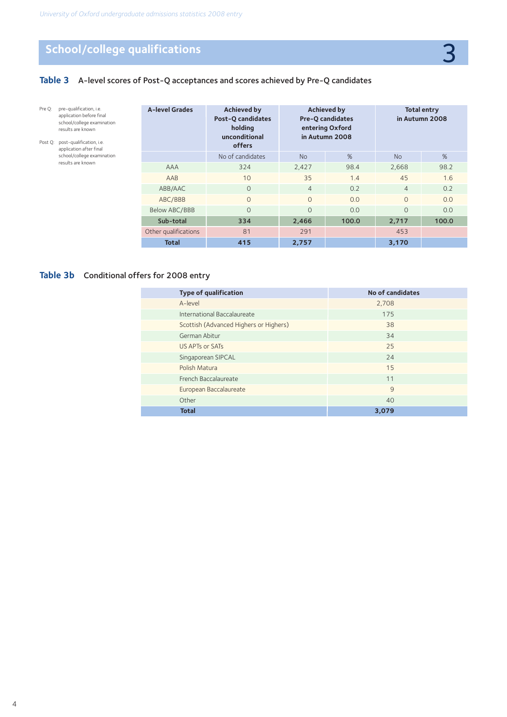## **School/college qualifications** 3

Pre Q: pre-qualification, i.e. application before final school/college examination results are known Post Q: post-qualification, i.e. application after final school/college examination results are known

## **Table 3** A-level scores of Post-Q acceptances and scores achieved by Pre-Q candidates

| <b>A-level Grades</b> | <b>Achieved by</b><br><b>Post-Q candidates</b><br>holding<br>unconditional<br>offers |                | <b>Achieved by</b><br><b>Pre-Q candidates</b><br>entering Oxford<br>in Autumn 2008 |                | <b>Total entry</b><br>in Autumn 2008 |
|-----------------------|--------------------------------------------------------------------------------------|----------------|------------------------------------------------------------------------------------|----------------|--------------------------------------|
|                       | No of candidates                                                                     | <b>No</b>      | %                                                                                  | <b>No</b>      | %                                    |
| <b>AAA</b>            | 324                                                                                  | 2,427          | 98.4                                                                               | 2,668          | 98.2                                 |
| AAB                   | 10                                                                                   | 35             | 1.4                                                                                | 45             | 1.6                                  |
| ABB/AAC               | $\Omega$                                                                             | $\overline{4}$ | 0.2                                                                                | $\overline{4}$ | 0.2                                  |
| ABC/BBB               | $\Omega$                                                                             | $\Omega$       | 0.0                                                                                | $\Omega$       | 0.0                                  |
| Below ABC/BBB         | $\Omega$                                                                             | $\Omega$       | 0.0                                                                                | $\Omega$       | 0.0                                  |
| Sub-total             | 334                                                                                  | 2,466          | 100.0                                                                              | 2,717          | 100.0                                |
| Other qualifications  | 81                                                                                   | 291            |                                                                                    | 453            |                                      |
| <b>Total</b>          | 415                                                                                  | 2,757          |                                                                                    | 3.170          |                                      |

## **Table 3b** Conditional offers for 2008 entry

| <b>Type of qualification</b>           | No of candidates |
|----------------------------------------|------------------|
| A-level                                | 2,708            |
| International Baccalaureate            | 175              |
| Scottish (Advanced Highers or Highers) | 38               |
| German Abitur                          | 34               |
| US APTs or SATs                        | 25               |
| Singaporean SIPCAL                     | 24               |
| Polish Matura                          | 15               |
| French Baccalaureate                   | 11               |
| European Baccalaureate                 | 9                |
| Other                                  | 40               |
| <b>Total</b>                           | 3.079            |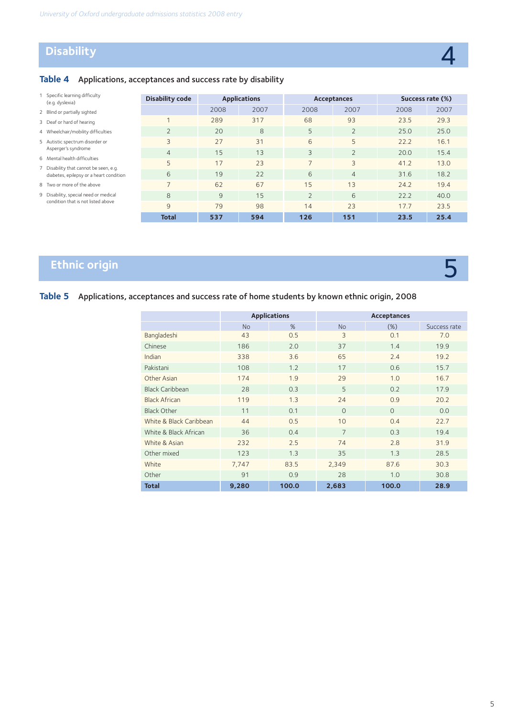## **Disability**

5

## **Table 4** Applications, acceptances and success rate by disability

| Specific learning difficulty<br>(e.g. dyslexia)                                   | <b>Disability code</b> | <b>Applications</b> |      |                          | Acceptances    |      | Success rate (%) |
|-----------------------------------------------------------------------------------|------------------------|---------------------|------|--------------------------|----------------|------|------------------|
| 2 Blind or partially sighted                                                      |                        | 2008                | 2007 | 2008                     | 2007           | 2008 | 2007             |
| 3 Deaf or hard of hearing                                                         |                        | 289                 | 317  | 68                       | 93             | 23.5 | 29.3             |
| 4 Wheelchair/mobility difficulties                                                | $\overline{2}$         | 20                  | 8    | 5                        | $\bigcap$      | 25.0 | 25.0             |
| 5 Autistic spectrum disorder or                                                   | 3                      | 27                  | 31   | 6                        | 5              | 22.2 | 16.1             |
| Asperger's syndrome                                                               | $\overline{4}$         | 15                  | 13   | 3                        | $\bigcap$      | 20.0 | 15.4             |
| 6 Mental health difficulties                                                      | 5                      | 17                  | 23   | $\overline{\phantom{0}}$ | 3              | 41.2 | 13.0             |
| 7 Disability that cannot be seen, e.g.<br>diabetes, epilepsy or a heart condition | 6                      | 19                  | 22   | 6                        | $\overline{4}$ | 31.6 | 18.2             |
| 8 Two or more of the above                                                        |                        | 62                  | 67   | 15                       | 13             | 24.2 | 19.4             |
| 9 Disability, special need or medical                                             | 8                      | 9                   | 15   | $\overline{2}$           | 6              | 22.2 | 40.0             |
| condition that is not listed above                                                | 9                      | 79                  | 98   | 14                       | 23             | 17.7 | 23.5             |
|                                                                                   | <b>Total</b>           | 537                 | 594  | 126                      | 151            | 23.5 | 25.4             |

## **Ethnic origin**

## **Table 5** Applications, acceptances and success rate of home students by known ethnic origin, 2008

|                         |           | <b>Applications</b> |                | Acceptances |              |
|-------------------------|-----------|---------------------|----------------|-------------|--------------|
|                         | <b>No</b> | %                   | <b>No</b>      | (%)         | Success rate |
| Bangladeshi             | 43        | 0.5                 | 3              | 0.1         | 7.0          |
| Chinese                 | 186       | 2.0                 | 37             | 1.4         | 19.9         |
| Indian                  | 338       | 3.6                 | 65             | 2.4         | 19.2         |
| Pakistani               | 108       | 1.2                 | 17             | 0.6         | 15.7         |
| Other Asian             | 174       | 1.9                 | 29             | 1.0         | 16.7         |
| <b>Black Caribbean</b>  | 28        | 0.3                 | 5              | 0.2         | 17.9         |
| <b>Black African</b>    | 119       | 1.3                 | 24             | 0.9         | 20.2         |
| <b>Black Other</b>      | 11        | 0.1                 | $\Omega$       | $\Omega$    | 0.0          |
| White & Black Caribbean | 44        | 0.5                 | 10             | 0.4         | 22.7         |
| White & Black African   | 36        | 0.4                 | $\overline{7}$ | 0.3         | 19.4         |
| White & Asian           | 232       | 2.5                 | 74             | 2.8         | 31.9         |
| Other mixed             | 123       | 1.3                 | 35             | 1.3         | 28.5         |
| White                   | 7,747     | 83.5                | 2,349          | 87.6        | 30.3         |
| Other                   | 91        | 0.9                 | 28             | 1.0         | 30.8         |
| <b>Total</b>            | 9,280     | 100.0               | 2,683          | 100.0       | 28.9         |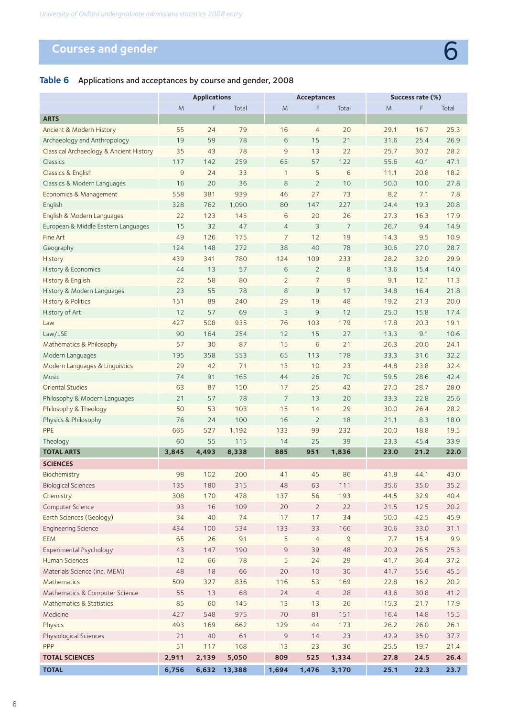# **Courses and gender 6 Courses and gender 6 Courses and gender**

## **Table 6** Applications and acceptances by course and gender, 2008

|                                         |                | <b>Applications</b> |        |                | Acceptances     |                |      | Success rate (%) |       |
|-----------------------------------------|----------------|---------------------|--------|----------------|-----------------|----------------|------|------------------|-------|
|                                         | M              | F                   | Total  | M              | F               | Total          | M    | F                | Total |
| <b>ARTS</b>                             |                |                     |        |                |                 |                |      |                  |       |
| Ancient & Modern History                | 55             | 24                  | 79     | 16             | $\overline{4}$  | 20             | 29.1 | 16.7             | 25.3  |
| Archaeology and Anthropology            | 19             | 59                  | 78     | 6              | 15              | 21             | 31.6 | 25.4             | 26.9  |
| Classical Archaeology & Ancient History | 35             | 43                  | 78     | $\overline{9}$ | 13              | 22             | 25.7 | 30.2             | 28.2  |
| Classics                                | 117            | 142                 | 259    | 65             | 57              | 122            | 55.6 | 40.1             | 47.1  |
| Classics & English                      | $\overline{9}$ | 24                  | 33     | 1              | 5               | 6              | 11.1 | 20.8             | 18.2  |
| Classics & Modern Languages             | 16             | 20                  | 36     | 8              | $\overline{2}$  | 10             | 50.0 | 10.0             | 27.8  |
| Economics & Management                  | 558            | 381                 | 939    | 46             | 27              | 73             | 8.2  | 7.1              | 7.8   |
| English                                 | 328            | 762                 | 1,090  | 80             | 147             | 227            | 24.4 | 19.3             | 20.8  |
| English & Modern Languages              | 22             | 123                 | 145    | 6              | 20              | 26             | 27.3 | 16.3             | 17.9  |
| European & Middle Eastern Languages     | 15             | 32                  | 47     | $\overline{4}$ | 3               | $\overline{7}$ | 26.7 | 9.4              | 14.9  |
| Fine Art                                | 49             | 126                 | 175    | $\overline{7}$ | 12              | 19             | 14.3 | 9.5              | 10.9  |
| Geography                               | 124            | 148                 | 272    | 38             | 40              | 78             | 30.6 | 27.0             | 28.7  |
| History                                 | 439            | 341                 | 780    | 124            | 109             | 233            | 28.2 | 32.0             | 29.9  |
| History & Economics                     | 44             | 13                  | 57     | 6              | $\overline{2}$  | 8              | 13.6 | 15.4             | 14.0  |
| History & English                       | 22             | 58                  | 80     | $\overline{2}$ | $\overline{7}$  | $\overline{9}$ | 9.1  | 12.1             | 11.3  |
| History & Modern Languages              | 23             | 55                  | 78     | 8              | $\overline{9}$  | 17             | 34.8 | 16.4             | 21.8  |
| <b>History &amp; Politics</b>           | 151            | 89                  | 240    | 29             | 19              | 48             | 19.2 | 21.3             | 20.0  |
| History of Art                          | 12             | 57                  | 69     | 3              | $\overline{9}$  | 12             | 25.0 | 15.8             | 17.4  |
| Law                                     | 427            | 508                 | 935    | 76             | 103             | 179            | 17.8 | 20.3             | 19.1  |
| Law/LSE                                 | 90             | 164                 | 254    | 12             | 15              | 27             | 13.3 | 9.1              | 10.6  |
| Mathematics & Philosophy                | 57             | 30                  | 87     | 15             | $6\phantom{.}6$ | 21             | 26.3 | 20.0             | 24.1  |
| Modern Languages                        | 195            | 358                 | 553    | 65             | 113             | 178            | 33.3 | 31.6             | 32.2  |
| Modern Languages & Linguistics          | 29             | 42                  | 71     | 13             | 10              | 23             | 44.8 | 23.8             | 32.4  |
| <b>Music</b>                            | 74             | 91                  | 165    | 44             | 26              | 70             | 59.5 | 28.6             | 42.4  |
| <b>Oriental Studies</b>                 | 63             | 87                  | 150    | 17             | 25              | 42             | 27.0 | 28.7             | 28.0  |
| Philosophy & Modern Languages           | 21             | 57                  | 78     | $\overline{7}$ | 13              | 20             | 33.3 | 22.8             | 25.6  |
| Philosophy & Theology                   | 50             | 53                  | 103    | 15             | 14              | 29             | 30.0 | 26.4             | 28.2  |
| Physics & Philosophy                    | 76             | 24                  | 100    | 16             | $\overline{2}$  | 18             | 21.1 | 8.3              | 18.0  |
| PPE                                     | 665            | 527                 | 1,192  | 133            | 99              | 232            | 20.0 | 18.8             | 19.5  |
| Theology                                | 60             | 55                  | 115    | 14             | 25              | 39             | 23.3 | 45.4             | 33.9  |
| <b>TOTAL ARTS</b>                       | 3.845          | 4,493               | 8,338  | 885            | 951             | 1,836          | 23.0 | 21.2             | 22.0  |
| <b>SCIENCES</b>                         |                |                     |        |                |                 |                |      |                  |       |
| Biochemistry                            | 98             | 102                 | 200    | 41             | 45              | 86             | 41.8 | 44.1             | 43.0  |
| <b>Biological Sciences</b>              | 135            | 180                 | 315    | 48             | 63              | 111            | 35.6 | 35.0             | 35.2  |
| Chemistry                               | 308            | 170                 | 478    | 137            | 56              | 193            | 44.5 | 32.9             | 40.4  |
| Computer Science                        | 93             | 16                  | 109    | 20             | $\overline{2}$  | 22             | 21.5 | 12.5             | 20.2  |
| Earth Sciences (Geology)                | 34             | 40                  | 74     | 17             | 17              | 34             | 50.0 | 42.5             | 45.9  |
| <b>Engineering Science</b>              | 434            | 100                 | 534    | 133            | 33              | 166            | 30.6 | 33.0             | 31.1  |
| <b>EEM</b>                              | 65             | 26                  | 91     | 5              | $\overline{4}$  | $\mathsf 9$    | 7.7  | 15.4             | 9.9   |
| Experimental Psychology                 | 43             | 147                 | 190    | $\mathsf 9$    | 39              | 48             | 20.9 | 26.5             | 25.3  |
| <b>Human Sciences</b>                   | 12             | 66                  | 78     | 5              | 24              | 29             | 41.7 | 36.4             | 37.2  |
| Materials Science (inc. MEM)            | 48             | 18                  | 66     | 20             | 10              | 30             | 41.7 | 55.6             | 45.5  |
| Mathematics                             | 509            | 327                 | 836    | 116            | 53              | 169            | 22.8 | 16.2             | 20.2  |
| Mathematics & Computer Science          | 55             | 13                  | 68     | 24             | $\overline{4}$  | 28             | 43.6 | 30.8             | 41.2  |
| Mathematics & Statistics                | 85             | 60                  | 145    | 13             | 13              | 26             | 15.3 | 21.7             | 17.9  |
| Medicine                                | 427            | 548                 | 975    | 70             | 81              | 151            | 16.4 | 14.8             | 15.5  |
| Physics                                 | 493            | 169                 | 662    | 129            | 44              | 173            | 26.2 | 26.0             | 26.1  |
| Physiological Sciences                  | 21             | 40                  | 61     | $\mathsf 9$    | 14              | 23             | 42.9 | 35.0             | 37.7  |
| PPP                                     | 51             | 117                 | 168    | 13             | 23              | 36             | 25.5 | 19.7             | 21.4  |
| <b>TOTAL SCIENCES</b>                   | 2,911          | 2,139               | 5,050  | 809            | 525             | 1,334          | 27.8 | 24.5             | 26.4  |
| <b>TOTAL</b>                            | 6,756          | 6,632               | 13,388 | 1,694          | 1,476           | 3,170          | 25.1 | 22.3             | 23.7  |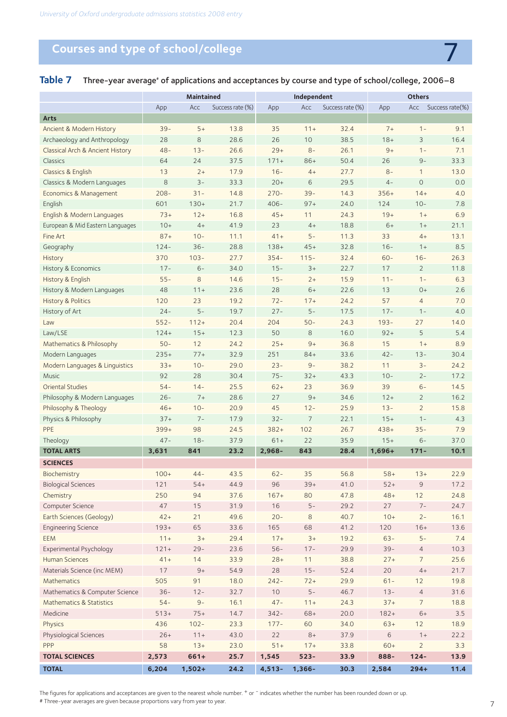## **Courses and type of school/college** 7

|                                  | Maintained |          | Independent      |           |                | <b>Others</b>    |          |                |                 |
|----------------------------------|------------|----------|------------------|-----------|----------------|------------------|----------|----------------|-----------------|
|                                  | App        | Acc      | Success rate (%) | App       | Acc            | Success rate (%) | App      | Acc            | Success rate(%) |
| <b>Arts</b>                      |            |          |                  |           |                |                  |          |                |                 |
| Ancient & Modern History         | $39 -$     | $5+$     | 13.8             | 35        | $11+$          | 32.4             | $7+$     | $1 -$          | 9.1             |
| Archaeology and Anthropology     | 28         | 8        | 28.6             | 26        | 10             | 38.5             | $18+$    | 3              | 16.4            |
| Classical Arch & Ancient History | $48 -$     | $13 -$   | 26.6             | $29+$     | $8-$           | 26.1             | $9+$     | $1 -$          | 7.1             |
| Classics                         | 64         | 24       | 37.5             | $171+$    | $86+$          | 50.4             | 26       | $9-$           | 33.3            |
| Classics & English               | 13         | $2+$     | 17.9             | $16 -$    | $4+$           | 27.7             | $8-$     | $\mathbf{1}$   | 13.0            |
| Classics & Modern Languages      | 8          | $3 -$    | 33.3             | $20+$     | 6              | 29.5             | $4-$     | $\circ$        | 0.0             |
| Economics & Management           | $208 -$    | $31 -$   | 14.8             | $270 -$   | $39 -$         | 14.3             | $356+$   | $14+$          | 4.0             |
| English                          | 601        | $130+$   | 21.7             | $406 -$   | $97+$          | 24.0             | 124      | $10 -$         | 7.8             |
| English & Modern Languages       | $73+$      | $12+$    | 16.8             | $45+$     | 11             | 24.3             | $19+$    | $1+$           | 6.9             |
| European & Mid Eastern Languages | $10+$      | $4+$     | 41.9             | 23        | $4+$           | 18.8             | $6+$     | $1+$           | 21.1            |
| Fine Art                         | $87+$      | $10 -$   | 11.1             | $41+$     | $5-$           | 11.3             | 33       | $4+$           | 13.1            |
| Geography                        | $124 -$    | $36 -$   | 28.8             | $138+$    | $45+$          | 32.8             | $16 -$   | $1+$           | 8.5             |
| History                          | 370        | $103 -$  | 27.7             | $354-$    | $115 -$        | 32.4             | $60 -$   | $16 -$         | 26.3            |
| History & Economics              | $17 -$     | $6-$     | 34.0             | $15 -$    | $3+$           | 22.7             | 17       | $\overline{2}$ | 11.8            |
| History & English                | $55 -$     | 8        | 14.6             | $15 -$    | $2+$           | 15.9             | $11 -$   | $1 -$          | 6.3             |
| History & Modern Languages       | 48         | $11 +$   | 23.6             | 28        | $6+$           | 22.6             | 13       | $0+$           | 2.6             |
| <b>History &amp; Politics</b>    | 120        | 23       | 19.2             | $72 -$    | $17+$          | 24.2             | 57       | $\overline{4}$ | 7.0             |
| History of Art                   | $24 -$     | $5-$     | 19.7             | $27 -$    | $5-$           | 17.5             | $17 -$   | $1 -$          | 4.0             |
| Law                              | $552 -$    | $112+$   | 20.4             | 204       | $50 -$         | 24.3             | $193 -$  | 27             | 14.0            |
| Law/LSE                          | $124+$     | $15+$    | 12.3             | 50        | 8              | 16.0             | $92+$    | 5              | 5.4             |
| Mathematics & Philosophy         | $50 -$     | 12       | 24.2             | $25+$     | $9+$           | 36.8             | 15       | $1+$           | 8.9             |
| Modern Languages                 | $235+$     | $77+$    | 32.9             | 251       | $84+$          | 33.6             | $42 -$   | $13 -$         | 30.4            |
| Modern Languages & Linguistics   | $33+$      | $10 -$   | 29.0             | $23 -$    | $9-$           | 38.2             | 11       | $3-$           | 24.2            |
| <b>Music</b>                     | 92         | 28       | 30.4             | $75 -$    | $32+$          | 43.3             | $10 -$   | $2 -$          | 17.2            |
| Oriental Studies                 | $54-$      | $14 -$   | 25.5             | $62+$     | 23             | 36.9             | 39       | $6-$           | 14.5            |
| Philosophy & Modern Languages    | $26 -$     | $7+$     | 28.6             | 27        | $9+$           | 34.6             | $12+$    | $\overline{2}$ | 16.2            |
| Philosophy & Theology            | $46+$      | $10 -$   | 20.9             | 45        | $12 -$         | 25.9             | $13 -$   | $\overline{2}$ | 15.8            |
| Physics & Philosophy             | $37+$      | $7 -$    | 17.9             | $32 -$    | $\overline{7}$ | 22.1             | $15+$    | $1 -$          | 4.3             |
| PPE                              | $399+$     | 98       | 24.5             | $382+$    | 102            | 26.7             | $438+$   | $35 -$         | 7.9             |
| Theology                         | $47 -$     | $18 -$   | 37.9             | $61+$     | 22             | 35.9             | $15+$    | $6-$           | 37.0            |
| <b>TOTAL ARTS</b>                | 3,631      | 841      | 23.2             | $2.968 -$ | 843            | 28.4             | $1,696+$ | $171 -$        | 10.1            |
| <b>SCIENCES</b>                  |            |          |                  |           |                |                  |          |                |                 |
| Biochemistry                     | $100+$     | $44 -$   | 43.5             | $62 -$    | 35             | 56.8             | $58+$    | $13+$          | 22.9            |
| <b>Biological Sciences</b>       | 121        | $54+$    | 44.9             | 96        | $39+$          | 41.0             | $52+$    | 9              | 17.2            |
| Chemistry                        | 250        | 94       | 37.6             | $167+$    | 80             | 47.8             | $48+$    | 12             | 24.8            |
| Computer Science                 | 47         | 15       | 31.9             | 16        | $5-$           | 29.2             | 27       | $7 -$          | 24.7            |
| Earth Sciences (Geology)         | $42+$      | 21       | 49.6             | $20 -$    | 8              | 40.7             | $10+$    | $2 -$          | 16.1            |
| <b>Engineering Science</b>       | $193+$     | 65       | 33.6             | 165       | 68             | 41.2             | 120      | $16+$          | 13.6            |
| <b>EEM</b>                       | $11 +$     | $3+$     | 29.4             | $17+$     | $3+$           | 19.2             | $63 -$   | $5-$           | 7.4             |
| Experimental Psychology          | $121 +$    | $29 -$   | 23.6             | $56 -$    | $17 -$         | 29.9             | $39 -$   | $\overline{4}$ | 10.3            |
| <b>Human Sciences</b>            | $41 +$     | 14       | 33.9             | $28+$     | 11             | 38.8             | $27+$    | $\overline{7}$ | 25.6            |
| Materials Science (inc MEM)      | 17         | $9+$     | 54.9             | 28        | $15 -$         | 52.4             | 20       | $4+$           | 21.7            |
| Mathematics                      | 505        | 91       | 18.0             | $242 -$   | $72+$          | 29.9             | $61 -$   | 12             | 19.8            |
| Mathematics & Computer Science   | $36 -$     | $12 -$   | 32.7             | $10$      | $5-$           | 46.7             | $13 -$   | $\overline{4}$ | 31.6            |
| Mathematics & Statistics         | $54 -$     | $9-$     | 16.1             | $47 -$    | $11 +$         | 24.3             | $37+$    | 7              | 18.8            |
| Medicine                         | $513+$     | $75+$    | 14.7             | $342 -$   | $68+$          | 20.0             | $182 +$  | $6+$           | 3.5             |
| Physics                          | 436        | $102 -$  | 23.3             | $177 -$   | 60             | 34.0             | $63+$    | 12             | 18.9            |
| Physiological Sciences           | $26+$      | $11 +$   | 43.0             | 22        | $8+$           | 37.9             | 6        | $1 +$          | 22.2            |
| PPP                              | 58         | $13+$    | 23.0             | $51 +$    | $17 +$         | 33.8             | $60+$    | $\overline{2}$ | 3.3             |
| <b>TOTAL SCIENCES</b>            | 2,573      | $661+$   | 25.7             | 1,545     | $523 -$        | 33.9             | 888-     | $124 -$        | 13.9            |
| <b>TOTAL</b>                     | 6,204      | $1,502+$ | 24.2             | $4,513-$  | 1,366-         | 30.3             | 2,584    | $294+$         | 11.4            |

## Table 7 Three-year average<sup>\*</sup> of applications and acceptances by course and type of school/college, 2006–8

The figures for applications and acceptances are given to the nearest whole number. <sup>+</sup> or <sup>-</sup> indicates whether the number has been rounded down or up. # Three-year averages are given because proportions vary from year to year.